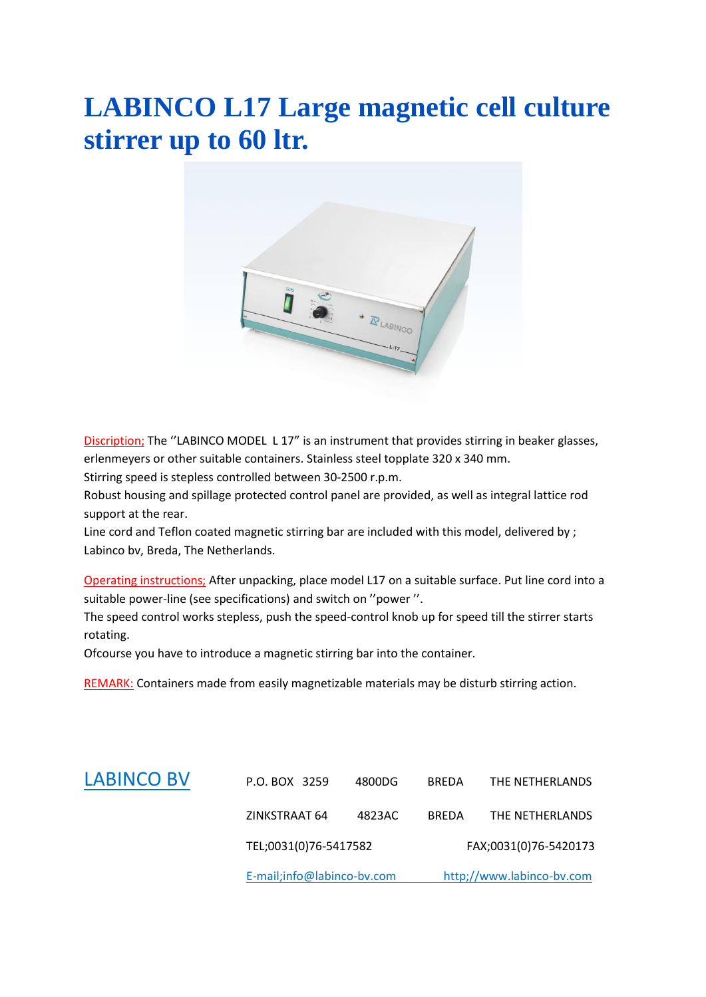## **LABINCO L17 Large magnetic cell culture stirrer up to 60 ltr.**



Discription; The ''LABINCO MODEL L 17" is an instrument that provides stirring in beaker glasses, erlenmeyers or other suitable containers. Stainless steel topplate 320 x 340 mm.

Stirring speed is stepless controlled between 30-2500 r.p.m.

Robust housing and spillage protected control panel are provided, as well as integral lattice rod support at the rear.

Line cord and Teflon coated magnetic stirring bar are included with this model, delivered by ; Labinco bv, Breda, The Netherlands.

Operating instructions; After unpacking, place model L17 on a suitable surface. Put line cord into a suitable power-line (see specifications) and switch on ''power ''.

The speed control works stepless, push the speed-control knob up for speed till the stirrer starts rotating.

Ofcourse you have to introduce a magnetic stirring bar into the container.

REMARK: Containers made from easily magnetizable materials may be disturb stirring action.

|                   | TEL;0031(0)76-5417582<br>E-mail;info@labinco-bv.com |        | FAX;0031(0)76-5420173<br>http;//www.labinco-bv.com |                 |
|-------------------|-----------------------------------------------------|--------|----------------------------------------------------|-----------------|
|                   |                                                     |        |                                                    |                 |
|                   | ZINKSTRAAT 64                                       | 4823AC | <b>BREDA</b>                                       | THE NETHERLANDS |
| <b>LABINCO BV</b> | P.O. BOX 3259                                       | 4800DG | <b>BREDA</b>                                       | THE NETHERLANDS |